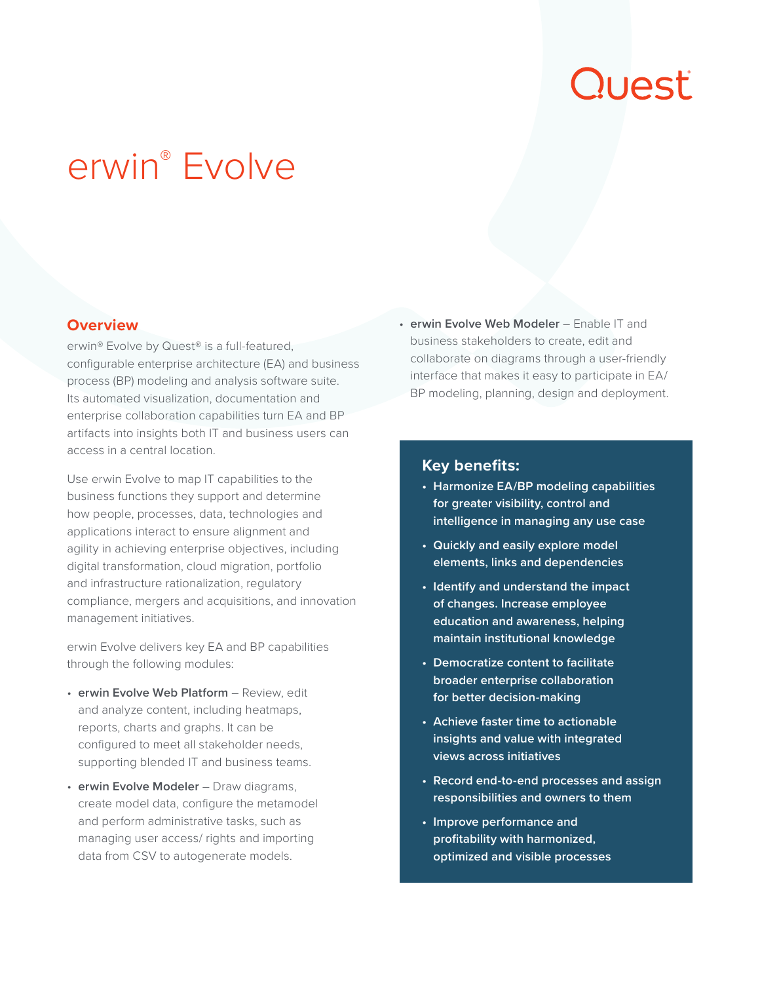# Quest

## erwin® Evolve

#### **Overview**

erwin® Evolve by Quest® is a full-featured, configurable enterprise architecture (EA) and business process (BP) modeling and analysis software suite. Its automated visualization, documentation and enterprise collaboration capabilities turn EA and BP artifacts into insights both IT and business users can access in a central location.

Use erwin Evolve to map IT capabilities to the business functions they support and determine how people, processes, data, technologies and applications interact to ensure alignment and agility in achieving enterprise objectives, including digital transformation, cloud migration, portfolio and infrastructure rationalization, regulatory compliance, mergers and acquisitions, and innovation management initiatives.

erwin Evolve delivers key EA and BP capabilities through the following modules:

- **erwin Evolve Web Platform** Review, edit and analyze content, including heatmaps, reports, charts and graphs. It can be configured to meet all stakeholder needs, supporting blended IT and business teams.
- **erwin Evolve Modeler** Draw diagrams, create model data, configure the metamodel and perform administrative tasks, such as managing user access/ rights and importing data from CSV to autogenerate models.

• **erwin Evolve Web Modeler** – Enable IT and business stakeholders to create, edit and collaborate on diagrams through a user-friendly interface that makes it easy to participate in EA/ BP modeling, planning, design and deployment.

#### **Key benefits:**

- **• Harmonize EA/BP modeling capabilities for greater visibility, control and intelligence in managing any use case**
- **• Quickly and easily explore model elements, links and dependencies**
- **• Identify and understand the impact of changes. Increase employee education and awareness, helping maintain institutional knowledge**
- **• Democratize content to facilitate broader enterprise collaboration for better decision-making**
- **• Achieve faster time to actionable insights and value with integrated views across initiatives**
- **• Record end-to-end processes and assign responsibilities and owners to them**
- **• Improve performance and profitability with harmonized, optimized and visible processes**